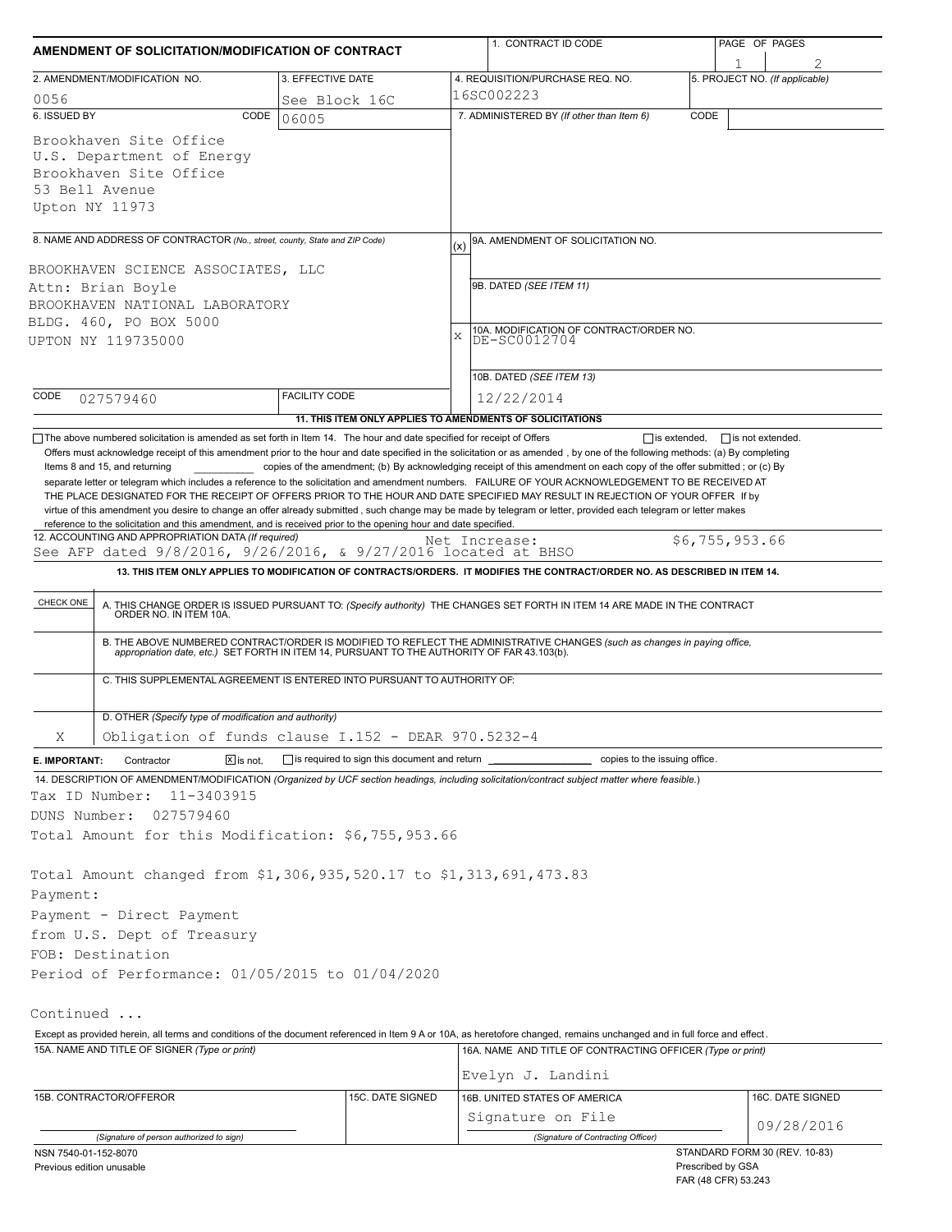| 2. AMENDMENT/MODIFICATION NO.<br>0056<br>6. ISSUED BY<br>Brookhaven Site Office                                                                  |                        | 3. EFFECTIVE DATE                                                        |                                                                                                                                                                                                                                                                                                                                                                                                                                                                                                                                                                                     | 1                              |  |  |  |
|--------------------------------------------------------------------------------------------------------------------------------------------------|------------------------|--------------------------------------------------------------------------|-------------------------------------------------------------------------------------------------------------------------------------------------------------------------------------------------------------------------------------------------------------------------------------------------------------------------------------------------------------------------------------------------------------------------------------------------------------------------------------------------------------------------------------------------------------------------------------|--------------------------------|--|--|--|
|                                                                                                                                                  |                        |                                                                          | 4. REQUISITION/PURCHASE REQ. NO.                                                                                                                                                                                                                                                                                                                                                                                                                                                                                                                                                    | 5. PROJECT NO. (If applicable) |  |  |  |
|                                                                                                                                                  |                        | See Block 16C                                                            | 16SC002223                                                                                                                                                                                                                                                                                                                                                                                                                                                                                                                                                                          |                                |  |  |  |
|                                                                                                                                                  | CODE                   | 06005                                                                    | 7. ADMINISTERED BY (If other than Item 6)                                                                                                                                                                                                                                                                                                                                                                                                                                                                                                                                           | CODE                           |  |  |  |
| U.S. Department of Energy<br>Brookhaven Site Office<br>53 Bell Avenue<br>Upton NY 11973                                                          |                        |                                                                          |                                                                                                                                                                                                                                                                                                                                                                                                                                                                                                                                                                                     |                                |  |  |  |
| 8. NAME AND ADDRESS OF CONTRACTOR (No., street, county, State and ZIP Code)                                                                      |                        |                                                                          | 9A. AMENDMENT OF SOLICITATION NO.<br>(x)                                                                                                                                                                                                                                                                                                                                                                                                                                                                                                                                            |                                |  |  |  |
| BROOKHAVEN SCIENCE ASSOCIATES, LLC                                                                                                               |                        |                                                                          |                                                                                                                                                                                                                                                                                                                                                                                                                                                                                                                                                                                     |                                |  |  |  |
| Attn: Brian Boyle                                                                                                                                |                        |                                                                          | 9B. DATED (SEE ITEM 11)                                                                                                                                                                                                                                                                                                                                                                                                                                                                                                                                                             |                                |  |  |  |
| BROOKHAVEN NATIONAL LABORATORY                                                                                                                   |                        |                                                                          |                                                                                                                                                                                                                                                                                                                                                                                                                                                                                                                                                                                     |                                |  |  |  |
| BLDG. 460, PO BOX 5000                                                                                                                           |                        |                                                                          |                                                                                                                                                                                                                                                                                                                                                                                                                                                                                                                                                                                     |                                |  |  |  |
| UPTON NY 119735000                                                                                                                               |                        |                                                                          | 10A. MODIFICATION OF CONTRACT/ORDER NO.<br>X<br>DE-SC0012704                                                                                                                                                                                                                                                                                                                                                                                                                                                                                                                        |                                |  |  |  |
|                                                                                                                                                  |                        |                                                                          |                                                                                                                                                                                                                                                                                                                                                                                                                                                                                                                                                                                     |                                |  |  |  |
|                                                                                                                                                  |                        |                                                                          | 10B. DATED (SEE ITEM 13)                                                                                                                                                                                                                                                                                                                                                                                                                                                                                                                                                            |                                |  |  |  |
| CODE<br>027579460                                                                                                                                |                        | <b>FACILITY CODE</b>                                                     | 12/22/2014                                                                                                                                                                                                                                                                                                                                                                                                                                                                                                                                                                          |                                |  |  |  |
|                                                                                                                                                  |                        |                                                                          | 11. THIS ITEM ONLY APPLIES TO AMENDMENTS OF SOLICITATIONS                                                                                                                                                                                                                                                                                                                                                                                                                                                                                                                           |                                |  |  |  |
| Items 8 and 15, and returning<br>reference to the solicitation and this amendment, and is received prior to the opening hour and date specified. |                        |                                                                          | copies of the amendment; (b) By acknowledging receipt of this amendment on each copy of the offer submitted; or (c) By<br>separate letter or telegram which includes a reference to the solicitation and amendment numbers. FAILURE OF YOUR ACKNOWLEDGEMENT TO BE RECEIVED AT<br>THE PLACE DESIGNATED FOR THE RECEIPT OF OFFERS PRIOR TO THE HOUR AND DATE SPECIFIED MAY RESULT IN REJECTION OF YOUR OFFER If by<br>virtue of this amendment you desire to change an offer already submitted, such change may be made by telegram or letter, provided each telegram or letter makes |                                |  |  |  |
| 12. ACCOUNTING AND APPROPRIATION DATA (If required)<br>See AFP dated 9/8/2016, 9/26/2016, & 9/27/2016 located at BHSO                            |                        |                                                                          | Net Increase:                                                                                                                                                                                                                                                                                                                                                                                                                                                                                                                                                                       | \$6,755,953.66                 |  |  |  |
|                                                                                                                                                  |                        |                                                                          | 13. THIS ITEM ONLY APPLIES TO MODIFICATION OF CONTRACTS/ORDERS. IT MODIFIES THE CONTRACT/ORDER NO. AS DESCRIBED IN ITEM 14.                                                                                                                                                                                                                                                                                                                                                                                                                                                         |                                |  |  |  |
| CHECK ONE                                                                                                                                        |                        |                                                                          | A. THIS CHANGE ORDER IS ISSUED PURSUANT TO: (Specify authority) THE CHANGES SET FORTH IN ITEM 14 ARE MADE IN THE CONTRACT ORDER NO. IN ITEM 10A.                                                                                                                                                                                                                                                                                                                                                                                                                                    |                                |  |  |  |
|                                                                                                                                                  |                        |                                                                          | B. THE ABOVE NUMBERED CONTRACT/ORDER IS MODIFIED TO REFLECT THE ADMINISTRATIVE CHANGES (such as changes in paying office, appropriation date, etc.) SET FORTH IN ITEM 14, PURSUANT TO THE AUTHORITY OF FAR 43.103(b).                                                                                                                                                                                                                                                                                                                                                               |                                |  |  |  |
|                                                                                                                                                  |                        | C. THIS SUPPLEMENTAL AGREEMENT IS ENTERED INTO PURSUANT TO AUTHORITY OF: |                                                                                                                                                                                                                                                                                                                                                                                                                                                                                                                                                                                     |                                |  |  |  |
| D. OTHER (Specify type of modification and authority)                                                                                            |                        |                                                                          |                                                                                                                                                                                                                                                                                                                                                                                                                                                                                                                                                                                     |                                |  |  |  |
| Χ                                                                                                                                                |                        | Obligation of funds clause I.152 - DEAR 970.5232-4                       |                                                                                                                                                                                                                                                                                                                                                                                                                                                                                                                                                                                     |                                |  |  |  |
| E. IMPORTANT:<br>Contractor                                                                                                                      | $\overline{X}$ is not. | $\Box$ is required to sign this document and return $\Box$               |                                                                                                                                                                                                                                                                                                                                                                                                                                                                                                                                                                                     | copies to the issuing office.  |  |  |  |
|                                                                                                                                                  |                        |                                                                          | 14. DESCRIPTION OF AMENDMENT/MODIFICATION (Organized by UCF section headings, including solicitation/contract subject matter where feasible.)                                                                                                                                                                                                                                                                                                                                                                                                                                       |                                |  |  |  |
| Tax ID Number:<br>11-3403915                                                                                                                     |                        |                                                                          |                                                                                                                                                                                                                                                                                                                                                                                                                                                                                                                                                                                     |                                |  |  |  |
| DUNS Number:<br>027579460                                                                                                                        |                        |                                                                          |                                                                                                                                                                                                                                                                                                                                                                                                                                                                                                                                                                                     |                                |  |  |  |
| Total Amount for this Modification: \$6,755,953.66                                                                                               |                        |                                                                          |                                                                                                                                                                                                                                                                                                                                                                                                                                                                                                                                                                                     |                                |  |  |  |
|                                                                                                                                                  |                        |                                                                          |                                                                                                                                                                                                                                                                                                                                                                                                                                                                                                                                                                                     |                                |  |  |  |
| Total Amount changed from \$1,306,935,520.17 to \$1,313,691,473.83                                                                               |                        |                                                                          |                                                                                                                                                                                                                                                                                                                                                                                                                                                                                                                                                                                     |                                |  |  |  |
| Payment:                                                                                                                                         |                        |                                                                          |                                                                                                                                                                                                                                                                                                                                                                                                                                                                                                                                                                                     |                                |  |  |  |
| Payment - Direct Payment                                                                                                                         |                        |                                                                          |                                                                                                                                                                                                                                                                                                                                                                                                                                                                                                                                                                                     |                                |  |  |  |
| from U.S. Dept of Treasury                                                                                                                       |                        |                                                                          |                                                                                                                                                                                                                                                                                                                                                                                                                                                                                                                                                                                     |                                |  |  |  |
| FOB: Destination                                                                                                                                 |                        |                                                                          |                                                                                                                                                                                                                                                                                                                                                                                                                                                                                                                                                                                     |                                |  |  |  |
| Period of Performance: 01/05/2015 to 01/04/2020                                                                                                  |                        |                                                                          |                                                                                                                                                                                                                                                                                                                                                                                                                                                                                                                                                                                     |                                |  |  |  |
| Continued                                                                                                                                        |                        |                                                                          |                                                                                                                                                                                                                                                                                                                                                                                                                                                                                                                                                                                     |                                |  |  |  |
|                                                                                                                                                  |                        |                                                                          | Except as provided herein, all terms and conditions of the document referenced in Item 9 A or 10A, as heretofore changed, remains unchanged and in full force and effect.                                                                                                                                                                                                                                                                                                                                                                                                           |                                |  |  |  |
|                                                                                                                                                  |                        |                                                                          | 16A. NAME AND TITLE OF CONTRACTING OFFICER (Type or print)                                                                                                                                                                                                                                                                                                                                                                                                                                                                                                                          |                                |  |  |  |
|                                                                                                                                                  |                        |                                                                          |                                                                                                                                                                                                                                                                                                                                                                                                                                                                                                                                                                                     |                                |  |  |  |
| 15A. NAME AND TITLE OF SIGNER (Type or print)                                                                                                    |                        |                                                                          |                                                                                                                                                                                                                                                                                                                                                                                                                                                                                                                                                                                     |                                |  |  |  |
|                                                                                                                                                  |                        |                                                                          | Evelyn J. Landini                                                                                                                                                                                                                                                                                                                                                                                                                                                                                                                                                                   |                                |  |  |  |
|                                                                                                                                                  |                        | 15C. DATE SIGNED                                                         | 16B. UNITED STATES OF AMERICA                                                                                                                                                                                                                                                                                                                                                                                                                                                                                                                                                       | 16C. DATE SIGNED               |  |  |  |
| 15B. CONTRACTOR/OFFEROR<br>(Signature of person authorized to sign)                                                                              |                        |                                                                          | Signature on File<br>(Signature of Contracting Officer)                                                                                                                                                                                                                                                                                                                                                                                                                                                                                                                             | 09/28/2016                     |  |  |  |